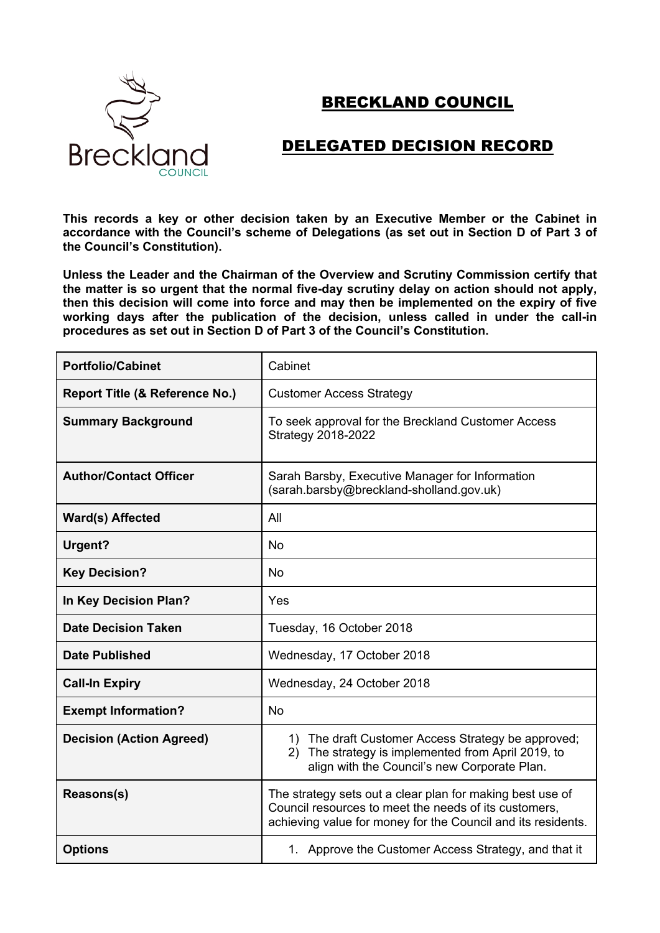

## BRECKLAND COUNCIL

## DELEGATED DECISION RECORD

**This records a key or other decision taken by an Executive Member or the Cabinet in accordance with the Council's scheme of Delegations (as set out in Section D of Part 3 of the Council's Constitution).**

**Unless the Leader and the Chairman of the Overview and Scrutiny Commission certify that the matter is so urgent that the normal five-day scrutiny delay on action should not apply, then this decision will come into force and may then be implemented on the expiry of five working days after the publication of the decision, unless called in under the call-in procedures as set out in Section D of Part 3 of the Council's Constitution.**

| <b>Portfolio/Cabinet</b>                  | Cabinet                                                                                                                                                                            |
|-------------------------------------------|------------------------------------------------------------------------------------------------------------------------------------------------------------------------------------|
| <b>Report Title (&amp; Reference No.)</b> | <b>Customer Access Strategy</b>                                                                                                                                                    |
| <b>Summary Background</b>                 | To seek approval for the Breckland Customer Access<br><b>Strategy 2018-2022</b>                                                                                                    |
| <b>Author/Contact Officer</b>             | Sarah Barsby, Executive Manager for Information<br>(sarah.barsby@breckland-sholland.gov.uk)                                                                                        |
| <b>Ward(s) Affected</b>                   | All                                                                                                                                                                                |
| Urgent?                                   | <b>No</b>                                                                                                                                                                          |
| <b>Key Decision?</b>                      | <b>No</b>                                                                                                                                                                          |
| In Key Decision Plan?                     | Yes                                                                                                                                                                                |
| <b>Date Decision Taken</b>                | Tuesday, 16 October 2018                                                                                                                                                           |
| <b>Date Published</b>                     | Wednesday, 17 October 2018                                                                                                                                                         |
| <b>Call-In Expiry</b>                     | Wednesday, 24 October 2018                                                                                                                                                         |
| <b>Exempt Information?</b>                | <b>No</b>                                                                                                                                                                          |
| <b>Decision (Action Agreed)</b>           | 1) The draft Customer Access Strategy be approved;<br>The strategy is implemented from April 2019, to<br>(2)<br>align with the Council's new Corporate Plan.                       |
| Reasons(s)                                | The strategy sets out a clear plan for making best use of<br>Council resources to meet the needs of its customers.<br>achieving value for money for the Council and its residents. |
| <b>Options</b>                            | 1. Approve the Customer Access Strategy, and that it                                                                                                                               |